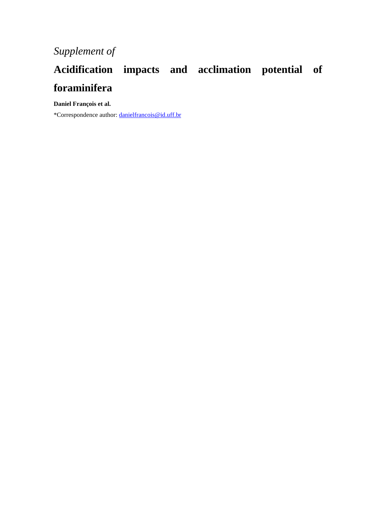## **Acidification impacts and acclimation potential of foraminifera**

**Daniel François et al.**

\*Correspondence author: [danielfrancois@id.uff.br](mailto:danielfrancois@id.uff.br)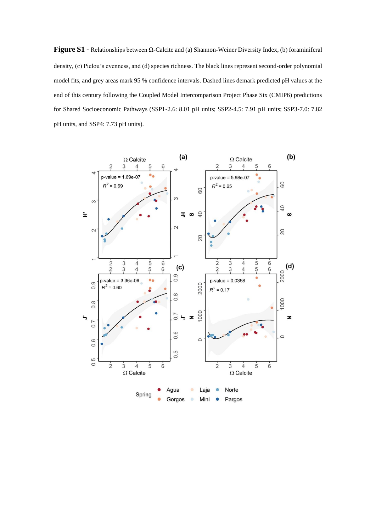**Figure S1 -** Relationships between Ω-Calcite and (a) Shannon-Weiner Diversity Index, (b) foraminiferal density, (c) Pielou's evenness, and (d) species richness. The black lines represent second-order polynomial model fits, and grey areas mark 95 % confidence intervals. Dashed lines demark predicted pH values at the end of this century following the Coupled Model Intercomparison Project Phase Six (CMIP6) predictions for Shared Socioeconomic Pathways (SSP1-2.6: 8.01 pH units; SSP2-4.5: 7.91 pH units; SSP3-7.0: 7.82 pH units, and SSP4: 7.73 pH units).

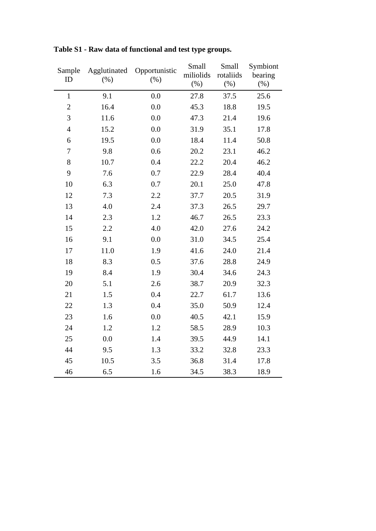| Sample<br>ID   | Agglutinated<br>(%) | Opportunistic<br>$(\%)$ | Small<br>miliolids<br>$(\% )$ | Small<br>rotaliids<br>$(\%)$ | Symbiont<br>bearing<br>$(\% )$ |
|----------------|---------------------|-------------------------|-------------------------------|------------------------------|--------------------------------|
| $\mathbf{1}$   | 9.1                 | 0.0                     | 27.8                          | 37.5                         | 25.6                           |
| $\overline{c}$ | 16.4                | 0.0                     | 45.3                          | 18.8                         | 19.5                           |
| 3              | 11.6                | 0.0                     | 47.3                          | 21.4                         | 19.6                           |
| $\overline{4}$ | 15.2                | 0.0                     | 31.9                          | 35.1                         | 17.8                           |
| 6              | 19.5                | 0.0                     | 18.4                          | 11.4                         | 50.8                           |
| $\tau$         | 9.8                 | 0.6                     | 20.2                          | 23.1                         | 46.2                           |
| 8              | 10.7                | 0.4                     | 22.2                          | 20.4                         | 46.2                           |
| 9              | 7.6                 | 0.7                     | 22.9                          | 28.4                         | 40.4                           |
| 10             | 6.3                 | 0.7                     | 20.1                          | 25.0                         | 47.8                           |
| 12             | 7.3                 | 2.2                     | 37.7                          | 20.5                         | 31.9                           |
| 13             | 4.0                 | 2.4                     | 37.3                          | 26.5                         | 29.7                           |
| 14             | 2.3                 | 1.2                     | 46.7                          | 26.5                         | 23.3                           |
| 15             | 2.2                 | 4.0                     | 42.0                          | 27.6                         | 24.2                           |
| 16             | 9.1                 | 0.0                     | 31.0                          | 34.5                         | 25.4                           |
| 17             | 11.0                | 1.9                     | 41.6                          | 24.0                         | 21.4                           |
| 18             | 8.3                 | 0.5                     | 37.6                          | 28.8                         | 24.9                           |
| 19             | 8.4                 | 1.9                     | 30.4                          | 34.6                         | 24.3                           |
| 20             | 5.1                 | 2.6                     | 38.7                          | 20.9                         | 32.3                           |
| 21             | 1.5                 | 0.4                     | 22.7                          | 61.7                         | 13.6                           |
| 22             | 1.3                 | 0.4                     | 35.0                          | 50.9                         | 12.4                           |
| 23             | 1.6                 | 0.0                     | 40.5                          | 42.1                         | 15.9                           |
| 24             | 1.2                 | 1.2                     | 58.5                          | 28.9                         | 10.3                           |
| 25             | 0.0                 | 1.4                     | 39.5                          | 44.9                         | 14.1                           |
| 44             | 9.5                 | 1.3                     | 33.2                          | 32.8                         | 23.3                           |
| 45             | 10.5                | 3.5                     | 36.8                          | 31.4                         | 17.8                           |
| 46             | 6.5                 | 1.6                     | 34.5                          | 38.3                         | 18.9                           |

**Table S1 - Raw data of functional and test type groups.**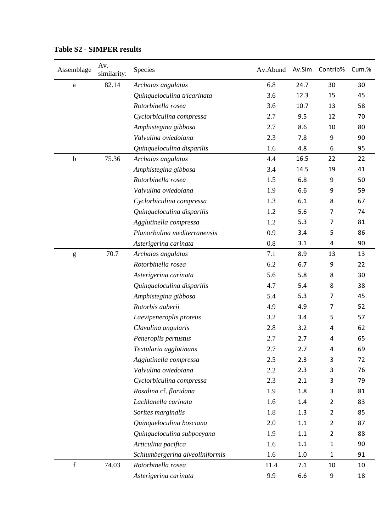| Assemblage                                                                                                                                                                                                                                                                                                                                                                                                                     | Av.<br>similarity: | Species                         | Av.Abund | Av.Sim | Contrib%       | Cum.% |
|--------------------------------------------------------------------------------------------------------------------------------------------------------------------------------------------------------------------------------------------------------------------------------------------------------------------------------------------------------------------------------------------------------------------------------|--------------------|---------------------------------|----------|--------|----------------|-------|
| $\rm{a}$                                                                                                                                                                                                                                                                                                                                                                                                                       | 82.14              | Archaias angulatus              | 6.8      | 24.7   | 30             | 30    |
|                                                                                                                                                                                                                                                                                                                                                                                                                                |                    | Quinqueloculina tricarinata     | 3.6      | 12.3   | 15             | 45    |
|                                                                                                                                                                                                                                                                                                                                                                                                                                |                    | Rotorbinella rosea              | 3.6      | 10.7   | 13             | 58    |
|                                                                                                                                                                                                                                                                                                                                                                                                                                |                    | Cyclorbiculina compressa        | 2.7      | 9.5    | 12             | 70    |
|                                                                                                                                                                                                                                                                                                                                                                                                                                |                    | Amphistegina gibbosa            | 2.7      | 8.6    | 10             | 80    |
|                                                                                                                                                                                                                                                                                                                                                                                                                                |                    | Valvulina oviedoiana            | 2.3      | 7.8    | 9              | 90    |
|                                                                                                                                                                                                                                                                                                                                                                                                                                |                    | Quinqueloculina disparilis      | 1.6      | 4.8    | 6              | 95    |
| $\mathbf b$                                                                                                                                                                                                                                                                                                                                                                                                                    | 75.36              | Archaias angulatus              | 4.4      | 16.5   | 22             | 22    |
|                                                                                                                                                                                                                                                                                                                                                                                                                                |                    | Amphistegina gibbosa            | 3.4      | 14.5   | 19             | 41    |
|                                                                                                                                                                                                                                                                                                                                                                                                                                |                    | Rotorbinella rosea              | 1.5      | 6.8    | 9              | 50    |
|                                                                                                                                                                                                                                                                                                                                                                                                                                |                    | Valvulina oviedoiana            | 1.9      | 6.6    | 9              | 59    |
|                                                                                                                                                                                                                                                                                                                                                                                                                                |                    | Cyclorbiculina compressa        | 1.3      | 6.1    | 8              | 67    |
|                                                                                                                                                                                                                                                                                                                                                                                                                                |                    | Quinqueloculina disparilis      | 1.2      | 5.6    | 7              | 74    |
|                                                                                                                                                                                                                                                                                                                                                                                                                                |                    | Agglutinella compressa          | 1.2      | 5.3    | 7              | 81    |
|                                                                                                                                                                                                                                                                                                                                                                                                                                |                    | Planorbulina mediterranensis    | 0.9      | 3.4    | 5              | 86    |
|                                                                                                                                                                                                                                                                                                                                                                                                                                |                    | Asterigerina carinata           | 0.8      | 3.1    | 4              | 90    |
| $\mathbf{g}% _{T}=\mathbf{g}_{T}=\mathbf{g}_{T}=\mathbf{g}_{T}=\mathbf{g}_{T}=\mathbf{g}_{T}=\mathbf{g}_{T}=\mathbf{g}_{T}=\mathbf{g}_{T}=\mathbf{g}_{T}=\mathbf{g}_{T}=\mathbf{g}_{T}=\mathbf{g}_{T}=\mathbf{g}_{T}=\mathbf{g}_{T}=\mathbf{g}_{T}=\mathbf{g}_{T}=\mathbf{g}_{T}=\mathbf{g}_{T}=\mathbf{g}_{T}=\mathbf{g}_{T}=\mathbf{g}_{T}=\mathbf{g}_{T}=\mathbf{g}_{T}=\mathbf{g}_{T}=\mathbf{g}_{T}=\mathbf{g}_{T}=\math$ | 70.7               | Archaias angulatus              | 7.1      | 8.9    | 13             | 13    |
|                                                                                                                                                                                                                                                                                                                                                                                                                                |                    | Rotorbinella rosea              | 6.2      | 6.7    | 9              | 22    |
|                                                                                                                                                                                                                                                                                                                                                                                                                                |                    | Asterigerina carinata           | 5.6      | 5.8    | 8              | 30    |
|                                                                                                                                                                                                                                                                                                                                                                                                                                |                    | Quinqueloculina disparilis      | 4.7      | 5.4    | 8              | 38    |
|                                                                                                                                                                                                                                                                                                                                                                                                                                |                    | Amphistegina gibbosa            | 5.4      | 5.3    | 7              | 45    |
|                                                                                                                                                                                                                                                                                                                                                                                                                                |                    | Rotorbis auberii                | 4.9      | 4.9    | 7              | 52    |
|                                                                                                                                                                                                                                                                                                                                                                                                                                |                    | Laevipeneroplis proteus         | 3.2      | 3.4    | 5              | 57    |
|                                                                                                                                                                                                                                                                                                                                                                                                                                |                    | Clavulina angularis             | 2.8      | 3.2    | 4              | 62    |
|                                                                                                                                                                                                                                                                                                                                                                                                                                |                    | Peneroplis pertustus            | 2.7      | 2.7    | 4              | 65    |
|                                                                                                                                                                                                                                                                                                                                                                                                                                |                    | Textularia agglutinans          | 2.7      | 2.7    | 4              | 69    |
|                                                                                                                                                                                                                                                                                                                                                                                                                                |                    | Agglutinella compressa          | 2.5      | 2.3    | 3              | 72    |
|                                                                                                                                                                                                                                                                                                                                                                                                                                |                    | Valvulina oviedoiana            | 2.2      | 2.3    | 3              | 76    |
|                                                                                                                                                                                                                                                                                                                                                                                                                                |                    | Cyclorbiculina compressa        | 2.3      | 2.1    | 3              | 79    |
|                                                                                                                                                                                                                                                                                                                                                                                                                                |                    | Rosalina cf. floridana          | 1.9      | 1.8    | 3              | 81    |
|                                                                                                                                                                                                                                                                                                                                                                                                                                |                    | Lachlanella carinata            | 1.6      | 1.4    | 2              | 83    |
|                                                                                                                                                                                                                                                                                                                                                                                                                                |                    | Sorites marginalis              | 1.8      | 1.3    | 2              | 85    |
|                                                                                                                                                                                                                                                                                                                                                                                                                                |                    | Quinqueloculina bosciana        | 2.0      | 1.1    | $\overline{2}$ | 87    |
|                                                                                                                                                                                                                                                                                                                                                                                                                                |                    | Quinqueloculina subpoeyana      | 1.9      | 1.1    | $\overline{2}$ | 88    |
|                                                                                                                                                                                                                                                                                                                                                                                                                                |                    | Articulina pacifica             | 1.6      | 1.1    | $\mathbf{1}$   | 90    |
|                                                                                                                                                                                                                                                                                                                                                                                                                                |                    | Schlumbergerina alveoliniformis | 1.6      | 1.0    | $\mathbf{1}$   | 91    |
| $\mathbf f$                                                                                                                                                                                                                                                                                                                                                                                                                    | 74.03              | Rotorbinella rosea              | 11.4     | 7.1    | 10             | 10    |
|                                                                                                                                                                                                                                                                                                                                                                                                                                |                    | Asterigerina carinata           | 9.9      | 6.6    | 9              | 18    |

## **Table S2 - SIMPER results**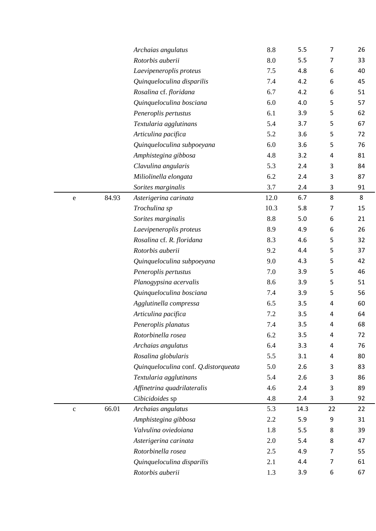|             |       | Archaias angulatus<br>Rotorbis auberii | 8.8<br>8.0 | 5.5  | $\overline{7}$ | 26 |
|-------------|-------|----------------------------------------|------------|------|----------------|----|
|             |       |                                        |            | 5.5  | $\overline{7}$ | 33 |
|             |       | Laevipeneroplis proteus                | 7.5        | 4.8  | 6              | 40 |
|             |       | Quinqueloculina disparilis             | 7.4        | 4.2  | 6              | 45 |
|             |       | Rosalina cf. floridana                 | 6.7        | 4.2  | 6              | 51 |
|             |       | Quinqueloculina bosciana               | 6.0        | 4.0  | 5              | 57 |
|             |       | Peneroplis pertustus                   | 6.1        | 3.9  | 5              | 62 |
|             |       | Textularia agglutinans                 | 5.4        | 3.7  | 5              | 67 |
|             |       | Articulina pacifica                    | 5.2        | 3.6  | 5              | 72 |
|             |       | Quinqueloculina subpoeyana             | 6.0        | 3.6  | 5              | 76 |
|             |       | Amphistegina gibbosa                   | 4.8        | 3.2  | 4              | 81 |
|             |       | Clavulina angularis                    | 5.3        | 2.4  | 3              | 84 |
|             |       | Miliolinella elongata                  | 6.2        | 2.4  | 3              | 87 |
|             |       | Sorites marginalis                     | 3.7        | 2.4  | 3              | 91 |
| $\mathbf e$ | 84.93 | Asterigerina carinata                  | 12.0       | 6.7  | $\bf 8$        | 8  |
|             |       | Trochulina sp                          | 10.3       | 5.8  | 7              | 15 |
|             |       | Sorites marginalis                     | 8.8        | 5.0  | 6              | 21 |
|             |       | Laevipeneroplis proteus                | 8.9        | 4.9  | 6              | 26 |
|             |       | Rosalina cf. R. floridana              | 8.3        | 4.6  | 5              | 32 |
|             |       | Rotorbis auberii                       | 9.2        | 4.4  | 5              | 37 |
|             |       | Quinqueloculina subpoeyana             | 9.0        | 4.3  | 5              | 42 |
|             |       | Peneroplis pertustus                   | 7.0        | 3.9  | 5              | 46 |
|             |       | Planogypsina acervalis                 | 8.6        | 3.9  | 5              | 51 |
|             |       | Quinqueloculina bosciana               | 7.4        | 3.9  | 5              | 56 |
|             |       | Agglutinella compressa                 | 6.5        | 3.5  | 4              | 60 |
|             |       | Articulina pacifica                    | 7.2        | 3.5  | 4              | 64 |
|             |       | Peneroplis planatus                    | 7.4        | 3.5  | 4              | 68 |
|             |       | Rotorbinella rosea                     | 6.2        | 3.5  | 4              | 72 |
|             |       | Archaias angulatus                     | 6.4        | 3.3  | 4              | 76 |
|             |       | Rosalina globularis                    | 5.5        | 3.1  | 4              | 80 |
|             |       | Quinqueloculina conf. Q.distorqueata   | 5.0        | 2.6  | 3              | 83 |
|             |       | Textularia agglutinans                 | 5.4        | 2.6  | 3              | 86 |
|             |       | Affinetrina quadrilateralis            | 4.6        | 2.4  | 3              | 89 |
|             |       | Cibicidoides sp                        | 4.8        | 2.4  | 3              | 92 |
| $\mathbf c$ | 66.01 | Archaias angulatus                     | 5.3        | 14.3 | 22             | 22 |
|             |       | Amphistegina gibbosa                   | 2.2        | 5.9  | 9              | 31 |
|             |       | Valvulina oviedoiana                   | 1.8        | 5.5  | 8              | 39 |
|             |       | Asterigerina carinata                  | 2.0        | 5.4  | 8              | 47 |
|             |       | Rotorbinella rosea                     | 2.5        | 4.9  | 7              | 55 |
|             |       | Quinqueloculina disparilis             | 2.1        | 4.4  | 7              | 61 |
|             |       | Rotorbis auberii                       | 1.3        | 3.9  | 6              | 67 |
|             |       |                                        |            |      |                |    |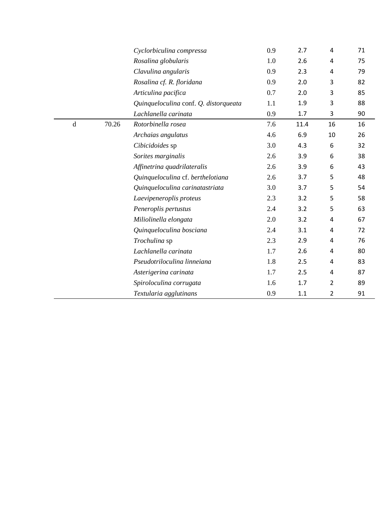|             |       | Cyclorbiculina compressa              | 0.9 | 2.7  | 4              | 71 |
|-------------|-------|---------------------------------------|-----|------|----------------|----|
|             |       | Rosalina globularis                   | 1.0 | 2.6  | 4              | 75 |
|             |       | Clavulina angularis                   | 0.9 | 2.3  | 4              | 79 |
|             |       | Rosalina cf. R. floridana             | 0.9 | 2.0  | 3              | 82 |
|             |       | Articulina pacifica                   | 0.7 | 2.0  | 3              | 85 |
|             |       | Quinqueloculina conf. Q. distorqueata | 1.1 | 1.9  | 3              | 88 |
|             |       | Lachlanella carinata                  | 0.9 | 1.7  | 3              | 90 |
| $\mathbf d$ | 70.26 | Rotorbinella rosea                    | 7.6 | 11.4 | 16             | 16 |
|             |       | Archaias angulatus                    | 4.6 | 6.9  | 10             | 26 |
|             |       | Cibicidoides sp                       | 3.0 | 4.3  | 6              | 32 |
|             |       | Sorites marginalis                    | 2.6 | 3.9  | 6              | 38 |
|             |       | Affinetrina quadrilateralis           | 2.6 | 3.9  | 6              | 43 |
|             |       | Quinqueloculina cf. berthelotiana     | 2.6 | 3.7  | 5              | 48 |
|             |       | Quinqueloculina carinatastriata       | 3.0 | 3.7  | 5              | 54 |
|             |       | Laevipeneroplis proteus               | 2.3 | 3.2  | 5              | 58 |
|             |       | Peneroplis pertustus                  | 2.4 | 3.2  | 5              | 63 |
|             |       | Miliolinella elongata                 | 2.0 | 3.2  | 4              | 67 |
|             |       | Quinqueloculina bosciana              | 2.4 | 3.1  | 4              | 72 |
|             |       | Trochulina sp                         | 2.3 | 2.9  | 4              | 76 |
|             |       | Lachlanella carinata                  | 1.7 | 2.6  | 4              | 80 |
|             |       | Pseudotriloculina linneiana           | 1.8 | 2.5  | 4              | 83 |
|             |       | Asterigerina carinata                 | 1.7 | 2.5  | 4              | 87 |
|             |       | Spiroloculina corrugata               | 1.6 | 1.7  | 2              | 89 |
|             |       | Textularia agglutinans                | 0.9 | 1.1  | $\overline{2}$ | 91 |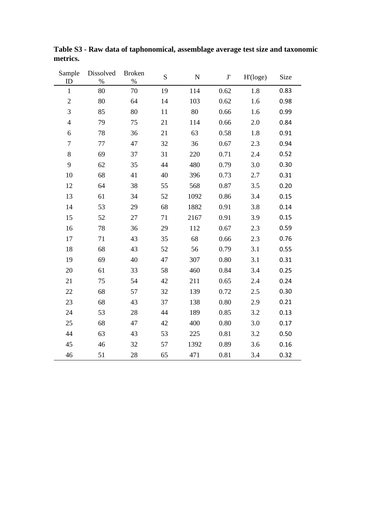| Sample<br>ID            | Dissolved<br>$\%$ | <b>Broken</b><br>$\%$ | S  | ${\bf N}$ | $\mathbf{J}^\prime$ | H'(loge) | Size |
|-------------------------|-------------------|-----------------------|----|-----------|---------------------|----------|------|
| $\mathbf{1}$            | 80                | 70                    | 19 | 114       | 0.62                | 1.8      | 0.83 |
| $\overline{c}$          | 80                | 64                    | 14 | 103       | 0.62                | 1.6      | 0.98 |
| 3                       | 85                | 80                    | 11 | 80        | 0.66                | 1.6      | 0.99 |
| $\overline{\mathbf{4}}$ | 79                | 75                    | 21 | 114       | 0.66                | 2.0      | 0.84 |
| 6                       | 78                | 36                    | 21 | 63        | 0.58                | 1.8      | 0.91 |
| $\boldsymbol{7}$        | 77                | 47                    | 32 | 36        | 0.67                | 2.3      | 0.94 |
| $8\,$                   | 69                | 37                    | 31 | 220       | 0.71                | 2.4      | 0.52 |
| 9                       | 62                | 35                    | 44 | 480       | 0.79                | 3.0      | 0.30 |
| 10                      | 68                | 41                    | 40 | 396       | 0.73                | 2.7      | 0.31 |
| 12                      | 64                | 38                    | 55 | 568       | 0.87                | 3.5      | 0.20 |
| 13                      | 61                | 34                    | 52 | 1092      | 0.86                | 3.4      | 0.15 |
| 14                      | 53                | 29                    | 68 | 1882      | 0.91                | 3.8      | 0.14 |
| 15                      | 52                | 27                    | 71 | 2167      | 0.91                | 3.9      | 0.15 |
| 16                      | 78                | 36                    | 29 | 112       | 0.67                | 2.3      | 0.59 |
| 17                      | 71                | 43                    | 35 | 68        | 0.66                | 2.3      | 0.76 |
| 18                      | 68                | 43                    | 52 | 56        | 0.79                | 3.1      | 0.55 |
| 19                      | 69                | 40                    | 47 | 307       | 0.80                | 3.1      | 0.31 |
| 20                      | 61                | 33                    | 58 | 460       | 0.84                | 3.4      | 0.25 |
| 21                      | 75                | 54                    | 42 | 211       | 0.65                | 2.4      | 0.24 |
| 22                      | 68                | 57                    | 32 | 139       | 0.72                | 2.5      | 0.30 |
| 23                      | 68                | 43                    | 37 | 138       | 0.80                | 2.9      | 0.21 |
| 24                      | 53                | 28                    | 44 | 189       | 0.85                | 3.2      | 0.13 |
| 25                      | 68                | 47                    | 42 | 400       | 0.80                | 3.0      | 0.17 |
| 44                      | 63                | 43                    | 53 | 225       | 0.81                | 3.2      | 0.50 |
| 45                      | 46                | 32                    | 57 | 1392      | 0.89                | 3.6      | 0.16 |
| 46                      | 51                | 28                    | 65 | 471       | 0.81                | 3.4      | 0.32 |

**Table S3 - Raw data of taphonomical, assemblage average test size and taxonomic metrics.**